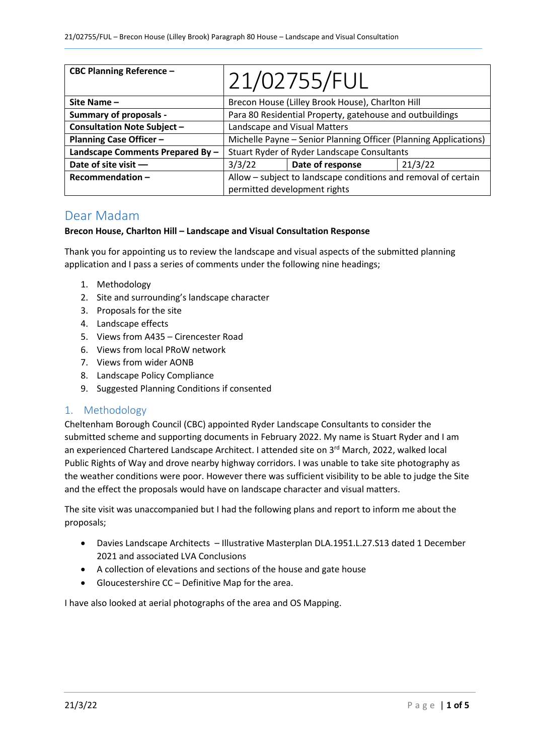| <b>CBC Planning Reference -</b>    | 21/02755/FUL                                                     |                  |         |
|------------------------------------|------------------------------------------------------------------|------------------|---------|
| Site Name $-$                      | Brecon House (Lilley Brook House), Charlton Hill                 |                  |         |
| <b>Summary of proposals -</b>      | Para 80 Residential Property, gatehouse and outbuildings         |                  |         |
| <b>Consultation Note Subject -</b> | Landscape and Visual Matters                                     |                  |         |
| <b>Planning Case Officer -</b>     | Michelle Payne - Senior Planning Officer (Planning Applications) |                  |         |
| Landscape Comments Prepared By -   | Stuart Ryder of Ryder Landscape Consultants                      |                  |         |
| Date of site visit -               | 3/3/22                                                           | Date of response | 21/3/22 |
| Recommendation-                    | Allow - subject to landscape conditions and removal of certain   |                  |         |
|                                    | permitted development rights                                     |                  |         |

## Dear Madam

#### **Brecon House, Charlton Hill – Landscape and Visual Consultation Response**

Thank you for appointing us to review the landscape and visual aspects of the submitted planning application and I pass a series of comments under the following nine headings;

- 1. Methodology
- 2. Site and surrounding's landscape character
- 3. Proposals for the site
- 4. Landscape effects
- 5. Views from A435 Cirencester Road
- 6. Views from local PRoW network
- 7. Views from wider AONB
- 8. Landscape Policy Compliance
- 9. Suggested Planning Conditions if consented

### 1. Methodology

Cheltenham Borough Council (CBC) appointed Ryder Landscape Consultants to consider the submitted scheme and supporting documents in February 2022. My name is Stuart Ryder and I am an experienced Chartered Landscape Architect. I attended site on 3<sup>rd</sup> March, 2022, walked local Public Rights of Way and drove nearby highway corridors. I was unable to take site photography as the weather conditions were poor. However there was sufficient visibility to be able to judge the Site and the effect the proposals would have on landscape character and visual matters.

The site visit was unaccompanied but I had the following plans and report to inform me about the proposals;

- Davies Landscape Architects Illustrative Masterplan DLA.1951.L.27.S13 dated 1 December 2021 and associated LVA Conclusions
- A collection of elevations and sections of the house and gate house
- Gloucestershire CC Definitive Map for the area.

I have also looked at aerial photographs of the area and OS Mapping.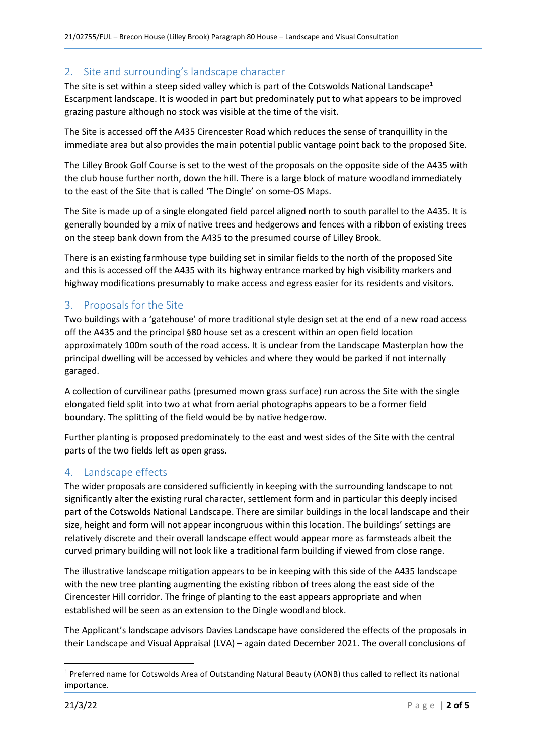### 2. Site and surrounding's landscape character

The site is set within a steep sided valley which is part of the Cotswolds National Landscape<sup>1</sup> Escarpment landscape. It is wooded in part but predominately put to what appears to be improved grazing pasture although no stock was visible at the time of the visit.

The Site is accessed off the A435 Cirencester Road which reduces the sense of tranquillity in the immediate area but also provides the main potential public vantage point back to the proposed Site.

The Lilley Brook Golf Course is set to the west of the proposals on the opposite side of the A435 with the club house further north, down the hill. There is a large block of mature woodland immediately to the east of the Site that is called 'The Dingle' on some-OS Maps.

The Site is made up of a single elongated field parcel aligned north to south parallel to the A435. It is generally bounded by a mix of native trees and hedgerows and fences with a ribbon of existing trees on the steep bank down from the A435 to the presumed course of Lilley Brook.

There is an existing farmhouse type building set in similar fields to the north of the proposed Site and this is accessed off the A435 with its highway entrance marked by high visibility markers and highway modifications presumably to make access and egress easier for its residents and visitors.

## 3. Proposals for the Site

Two buildings with a 'gatehouse' of more traditional style design set at the end of a new road access off the A435 and the principal §80 house set as a crescent within an open field location approximately 100m south of the road access. It is unclear from the Landscape Masterplan how the principal dwelling will be accessed by vehicles and where they would be parked if not internally garaged.

A collection of curvilinear paths (presumed mown grass surface) run across the Site with the single elongated field split into two at what from aerial photographs appears to be a former field boundary. The splitting of the field would be by native hedgerow.

Further planting is proposed predominately to the east and west sides of the Site with the central parts of the two fields left as open grass.

### 4. Landscape effects

The wider proposals are considered sufficiently in keeping with the surrounding landscape to not significantly alter the existing rural character, settlement form and in particular this deeply incised part of the Cotswolds National Landscape. There are similar buildings in the local landscape and their size, height and form will not appear incongruous within this location. The buildings' settings are relatively discrete and their overall landscape effect would appear more as farmsteads albeit the curved primary building will not look like a traditional farm building if viewed from close range.

The illustrative landscape mitigation appears to be in keeping with this side of the A435 landscape with the new tree planting augmenting the existing ribbon of trees along the east side of the Cirencester Hill corridor. The fringe of planting to the east appears appropriate and when established will be seen as an extension to the Dingle woodland block.

The Applicant's landscape advisors Davies Landscape have considered the effects of the proposals in their Landscape and Visual Appraisal (LVA) – again dated December 2021. The overall conclusions of

**.** 

<sup>1</sup> Preferred name for Cotswolds Area of Outstanding Natural Beauty (AONB) thus called to reflect its national importance.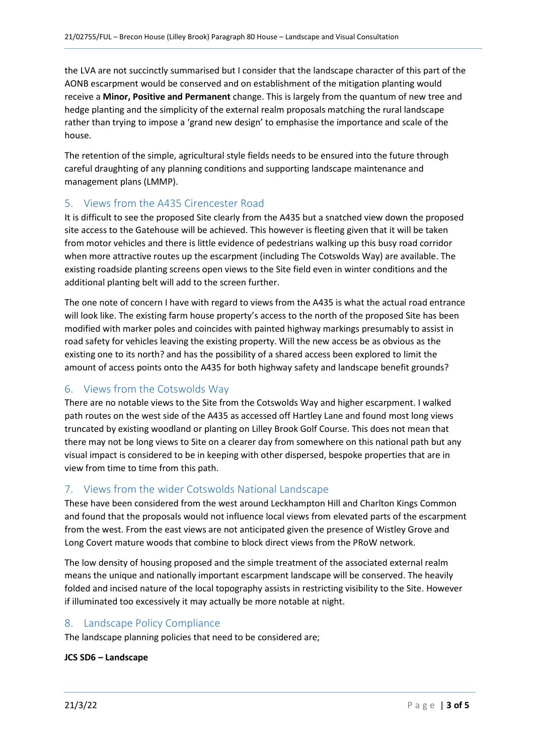the LVA are not succinctly summarised but I consider that the landscape character of this part of the AONB escarpment would be conserved and on establishment of the mitigation planting would receive a **Minor, Positive and Permanent** change. This is largely from the quantum of new tree and hedge planting and the simplicity of the external realm proposals matching the rural landscape rather than trying to impose a 'grand new design' to emphasise the importance and scale of the house.

The retention of the simple, agricultural style fields needs to be ensured into the future through careful draughting of any planning conditions and supporting landscape maintenance and management plans (LMMP).

### 5. Views from the A435 Cirencester Road

It is difficult to see the proposed Site clearly from the A435 but a snatched view down the proposed site access to the Gatehouse will be achieved. This however is fleeting given that it will be taken from motor vehicles and there is little evidence of pedestrians walking up this busy road corridor when more attractive routes up the escarpment (including The Cotswolds Way) are available. The existing roadside planting screens open views to the Site field even in winter conditions and the additional planting belt will add to the screen further.

The one note of concern I have with regard to views from the A435 is what the actual road entrance will look like. The existing farm house property's access to the north of the proposed Site has been modified with marker poles and coincides with painted highway markings presumably to assist in road safety for vehicles leaving the existing property. Will the new access be as obvious as the existing one to its north? and has the possibility of a shared access been explored to limit the amount of access points onto the A435 for both highway safety and landscape benefit grounds?

### 6. Views from the Cotswolds Way

There are no notable views to the Site from the Cotswolds Way and higher escarpment. I walked path routes on the west side of the A435 as accessed off Hartley Lane and found most long views truncated by existing woodland or planting on Lilley Brook Golf Course. This does not mean that there may not be long views to Site on a clearer day from somewhere on this national path but any visual impact is considered to be in keeping with other dispersed, bespoke properties that are in view from time to time from this path.

### 7. Views from the wider Cotswolds National Landscape

These have been considered from the west around Leckhampton Hill and Charlton Kings Common and found that the proposals would not influence local views from elevated parts of the escarpment from the west. From the east views are not anticipated given the presence of Wistley Grove and Long Covert mature woods that combine to block direct views from the PRoW network.

The low density of housing proposed and the simple treatment of the associated external realm means the unique and nationally important escarpment landscape will be conserved. The heavily folded and incised nature of the local topography assists in restricting visibility to the Site. However if illuminated too excessively it may actually be more notable at night.

### 8. Landscape Policy Compliance

The landscape planning policies that need to be considered are;

#### **JCS SD6 – Landscape**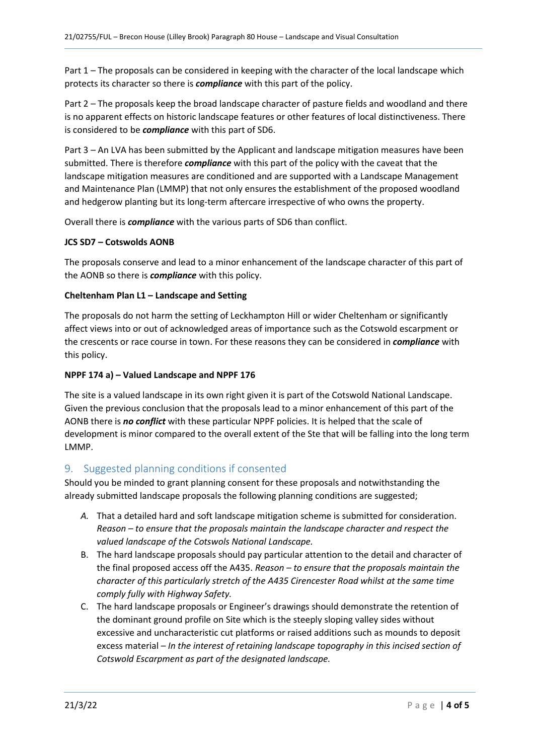Part 1 – The proposals can be considered in keeping with the character of the local landscape which protects its character so there is *compliance* with this part of the policy.

Part 2 – The proposals keep the broad landscape character of pasture fields and woodland and there is no apparent effects on historic landscape features or other features of local distinctiveness. There is considered to be *compliance* with this part of SD6.

Part 3 – An LVA has been submitted by the Applicant and landscape mitigation measures have been submitted. There is therefore *compliance* with this part of the policy with the caveat that the landscape mitigation measures are conditioned and are supported with a Landscape Management and Maintenance Plan (LMMP) that not only ensures the establishment of the proposed woodland and hedgerow planting but its long-term aftercare irrespective of who owns the property.

Overall there is *compliance* with the various parts of SD6 than conflict.

#### **JCS SD7 – Cotswolds AONB**

The proposals conserve and lead to a minor enhancement of the landscape character of this part of the AONB so there is *compliance* with this policy.

#### **Cheltenham Plan L1 – Landscape and Setting**

The proposals do not harm the setting of Leckhampton Hill or wider Cheltenham or significantly affect views into or out of acknowledged areas of importance such as the Cotswold escarpment or the crescents or race course in town. For these reasons they can be considered in *compliance* with this policy.

#### **NPPF 174 a) – Valued Landscape and NPPF 176**

The site is a valued landscape in its own right given it is part of the Cotswold National Landscape. Given the previous conclusion that the proposals lead to a minor enhancement of this part of the AONB there is *no conflict* with these particular NPPF policies. It is helped that the scale of development is minor compared to the overall extent of the Ste that will be falling into the long term LMMP.

### 9. Suggested planning conditions if consented

Should you be minded to grant planning consent for these proposals and notwithstanding the already submitted landscape proposals the following planning conditions are suggested;

- *A.* That a detailed hard and soft landscape mitigation scheme is submitted for consideration. *Reason – to ensure that the proposals maintain the landscape character and respect the valued landscape of the Cotswols National Landscape.*
- B. The hard landscape proposals should pay particular attention to the detail and character of the final proposed access off the A435. *Reason – to ensure that the proposals maintain the character of this particularly stretch of the A435 Cirencester Road whilst at the same time comply fully with Highway Safety.*
- C. The hard landscape proposals or Engineer's drawings should demonstrate the retention of the dominant ground profile on Site which is the steeply sloping valley sides without excessive and uncharacteristic cut platforms or raised additions such as mounds to deposit excess material *– In the interest of retaining landscape topography in this incised section of Cotswold Escarpment as part of the designated landscape.*